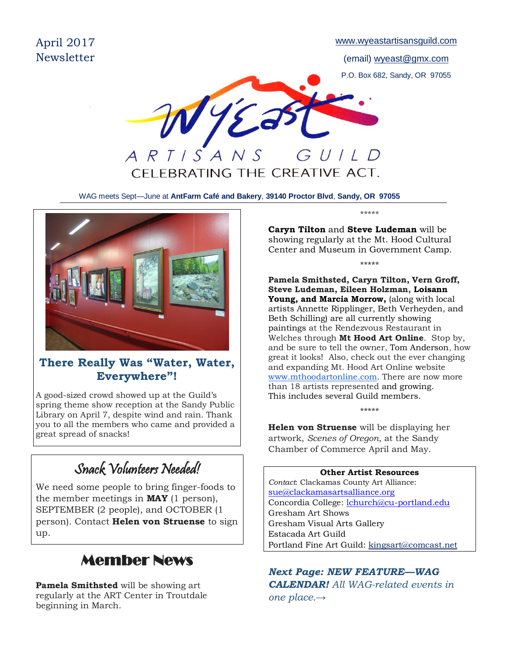

\_\_\_\_\_\_\_\_\_\_\_\_\_\_\_\_\_\_\_\_\_\_\_\_\_\_\_\_\_\_\_\_\_\_\_\_\_\_\_\_\_\_\_\_\_\_\_\_\_\_\_\_\_\_\_\_\_\_\_\_\_\_\_\_\_\_\_\_\_\_\_\_\_\_\_\_\_\_\_\_\_\_\_\_\_ WAG meets Sept—June at **AntFarm Café and Bakery**, **39140 Proctor Blvd**, **Sandy, OR 97055**



### **There Really Was "Water, Water, Everywhere"!**

A good-sized crowd showed up at the Guild's spring theme show reception at the Sandy Public Library on April 7, despite wind and rain. Thank you to all the members who came and provided a great spread of snacks!

## Snack Volunteers Needed!

We need some people to bring finger-foods to the member meetings in **MAY** (1 person), SEPTEMBER (2 people), and OCTOBER (1 person). Contact **Helen von Struense** to sign up.

### ٦ Member News

**Pamela Smithsted** will be showing art regularly at the ART Center in Troutdale beginning in March.

\*\*\*\*\*

\*\*\*\*\*

**Caryn Tilton** and **Steve Ludeman** will be showing regularly at the Mt. Hood Cultural Center and Museum in Government Camp.

**Pamela Smithsted, Caryn Tilton, Vern Groff, Steve Ludeman, Eileen Holzman, Loisann Young, and Marcia Morrow,** (along with local artists Annette Ripplinger, Beth Verheyden, and Beth Schilling) are all currently showing paintings at the Rendezvous Restaurant in Welches through **Mt Hood Art Online**. Stop by, and be sure to tell the owner, Tom Anderson, how great it looks! Also, check out the ever changing and expanding Mt. Hood Art Online website [www.mthoodartonline.com.](http://www.mthoodartonline.com/) There are now more than 18 artists represented and growing. This includes several Guild members.

\*\*\*\*\* **Helen von Struense** will be displaying her artwork, *Scenes of Oregon*, at the Sandy Chamber of Commerce April and May.

**Other Artist Resources** *Contact*: Clackamas County Art Alliance: [sue@clackamasartsalliance.org](mailto:sue@clackamasartsalliance.org) Concordia College: [lchurch@cu-portland.edu](mailto:lchurch@cu-portland.edu) Gresham Art Shows Gresham Visual Arts Gallery Estacada Art Guild Portland Fine Art Guild: [kingsart@comcast.net](mailto:kingsart@comcast.net)

*Next Page: NEW FEATURE—WAG CALENDAR! All WAG-related events in one place.→*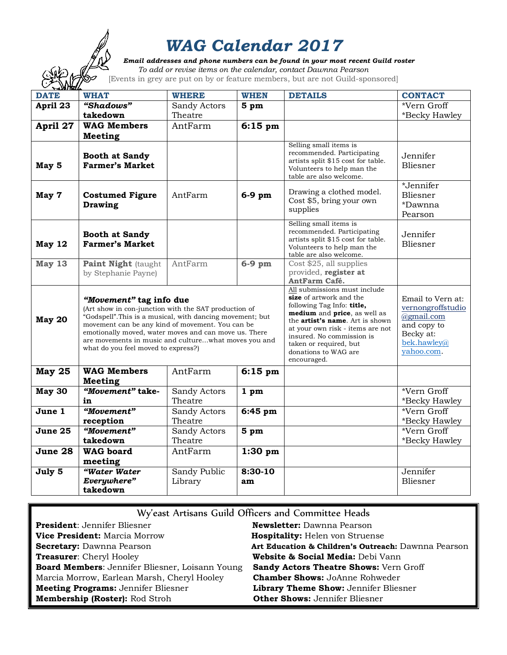

# *WAG Calendar 2017*

 *Email addresses and phone numbers can be found in your most recent Guild roster*

| $\cancel{\simeq}$<br>To add or revise items on the calendar, contact Dawnna Pearson<br>[Events in grey are put on by or feature members, but are not Guild-sponsored] |                                                                                                                                                                                                                                                                                                                                                          |                         |                 |                                                                                                                                                                                                                                                                                                    |                                                                                                               |
|-----------------------------------------------------------------------------------------------------------------------------------------------------------------------|----------------------------------------------------------------------------------------------------------------------------------------------------------------------------------------------------------------------------------------------------------------------------------------------------------------------------------------------------------|-------------------------|-----------------|----------------------------------------------------------------------------------------------------------------------------------------------------------------------------------------------------------------------------------------------------------------------------------------------------|---------------------------------------------------------------------------------------------------------------|
| <b>DATE</b>                                                                                                                                                           | <b>WHAT</b>                                                                                                                                                                                                                                                                                                                                              | <b>WHERE</b>            | <b>WHEN</b>     | <b>DETAILS</b>                                                                                                                                                                                                                                                                                     | <b>CONTACT</b>                                                                                                |
| April 23                                                                                                                                                              | "Shadows"                                                                                                                                                                                                                                                                                                                                                | Sandy Actors            | 5 <sub>pm</sub> |                                                                                                                                                                                                                                                                                                    | *Vern Groff                                                                                                   |
|                                                                                                                                                                       | takedown                                                                                                                                                                                                                                                                                                                                                 | Theatre                 |                 |                                                                                                                                                                                                                                                                                                    | *Becky Hawley                                                                                                 |
| April 27                                                                                                                                                              | <b>WAG Members</b>                                                                                                                                                                                                                                                                                                                                       | AntFarm                 | $6:15$ pm       |                                                                                                                                                                                                                                                                                                    |                                                                                                               |
|                                                                                                                                                                       | <b>Meeting</b>                                                                                                                                                                                                                                                                                                                                           |                         |                 |                                                                                                                                                                                                                                                                                                    |                                                                                                               |
| May 5                                                                                                                                                                 | <b>Booth at Sandy</b><br><b>Farmer's Market</b>                                                                                                                                                                                                                                                                                                          |                         |                 | Selling small items is<br>recommended. Participating<br>artists split \$15 cost for table.<br>Volunteers to help man the<br>table are also welcome.                                                                                                                                                | Jennifer<br>Bliesner                                                                                          |
| May 7                                                                                                                                                                 | <b>Costumed Figure</b><br><b>Drawing</b>                                                                                                                                                                                                                                                                                                                 | AntFarm                 | $6-9$ pm        | Drawing a clothed model.<br>Cost \$5, bring your own<br>supplies                                                                                                                                                                                                                                   | *Jennifer<br>Bliesner<br>*Dawnna<br>Pearson                                                                   |
| May 12                                                                                                                                                                | <b>Booth at Sandy</b><br><b>Farmer's Market</b>                                                                                                                                                                                                                                                                                                          |                         |                 | Selling small items is<br>recommended. Participating<br>artists split \$15 cost for table.<br>Volunteers to help man the<br>table are also welcome.                                                                                                                                                | Jennifer<br>Bliesner                                                                                          |
| May 13                                                                                                                                                                | <b>Paint Night (taught)</b><br>by Stephanie Payne)                                                                                                                                                                                                                                                                                                       | AntFarm                 | $6-9$ pm        | Cost \$25, all supplies<br>provided, register at<br>AntFarm Café.                                                                                                                                                                                                                                  |                                                                                                               |
| <b>May 20</b>                                                                                                                                                         | "Movement" tag info due<br>(Art show in con-junction with the SAT production of<br>"Godspell". This is a musical, with dancing movement; but<br>movement can be any kind of movement. You can be<br>emotionally moved, water moves and can move us. There<br>are movements in music and culturewhat moves you and<br>what do you feel moved to express?) |                         |                 | All submissions must include<br>size of artwork and the<br>following Tag Info: title,<br>medium and price, as well as<br>the <b>artist's name</b> . Art is shown<br>at your own risk - items are not<br>insured. No commission is<br>taken or required, but<br>donations to WAG are<br>encouraged. | Email to Vern at:<br>vernongroffstudio<br>@gmail.com<br>and copy to<br>Becky at:<br>bek.hawley@<br>yahoo.com. |
| <b>May 25</b>                                                                                                                                                         | <b>WAG Members</b><br><b>Meeting</b>                                                                                                                                                                                                                                                                                                                     | AntFarm                 | $6:15$ pm       |                                                                                                                                                                                                                                                                                                    |                                                                                                               |
| <b>May 30</b>                                                                                                                                                         | "Movement" take-<br>in                                                                                                                                                                                                                                                                                                                                   | Sandy Actors<br>Theatre | 1 <sub>pm</sub> |                                                                                                                                                                                                                                                                                                    | *Vern Groff<br>*Becky Hawley                                                                                  |
| June 1                                                                                                                                                                | "Movement"                                                                                                                                                                                                                                                                                                                                               | Sandy Actors            | 6:45 pm         |                                                                                                                                                                                                                                                                                                    | *Vern Groff                                                                                                   |
|                                                                                                                                                                       | reception                                                                                                                                                                                                                                                                                                                                                | Theatre                 |                 |                                                                                                                                                                                                                                                                                                    | *Becky Hawley                                                                                                 |
| June 25                                                                                                                                                               | "Movement"                                                                                                                                                                                                                                                                                                                                               | Sandy Actors            | 5 pm            |                                                                                                                                                                                                                                                                                                    | *Vern Groff                                                                                                   |
|                                                                                                                                                                       | takedown                                                                                                                                                                                                                                                                                                                                                 | Theatre                 |                 |                                                                                                                                                                                                                                                                                                    | *Becky Hawley                                                                                                 |
| June 28                                                                                                                                                               | <b>WAG</b> board<br>meeting                                                                                                                                                                                                                                                                                                                              | AntFarm                 | $1:30$ pm       |                                                                                                                                                                                                                                                                                                    |                                                                                                               |
| July 5                                                                                                                                                                | "Water Water                                                                                                                                                                                                                                                                                                                                             | Sandy Public            | $8:30-10$       |                                                                                                                                                                                                                                                                                                    | Jennifer                                                                                                      |
|                                                                                                                                                                       | Everywhere"                                                                                                                                                                                                                                                                                                                                              | Library                 | am              |                                                                                                                                                                                                                                                                                                    | Bliesner                                                                                                      |
|                                                                                                                                                                       | takedown                                                                                                                                                                                                                                                                                                                                                 |                         |                 |                                                                                                                                                                                                                                                                                                    |                                                                                                               |

| Wy'east Artisans Guild Officers and Committee Heads |                                                     |  |  |  |
|-----------------------------------------------------|-----------------------------------------------------|--|--|--|
| <b>President:</b> Jennifer Bliesner                 | Newsletter: Dawnna Pearson                          |  |  |  |
| Vice President: Marcia Morrow                       | <b>Hospitality: Helen von Struense</b>              |  |  |  |
| <b>Secretary: Dawnna Pearson</b>                    | Art Education & Children's Outreach: Dawnna Pearson |  |  |  |
| <b>Treasurer:</b> Cheryl Hooley                     | Website & Social Media: Debi Vann                   |  |  |  |
| Board Members: Jennifer Bliesner, Loisann Young     | Sandy Actors Theatre Shows: Vern Groff              |  |  |  |
| Marcia Morrow, Earlean Marsh, Cheryl Hooley         | <b>Chamber Shows: JoAnne Rohweder</b>               |  |  |  |
| <b>Meeting Programs: Jennifer Bliesner</b>          | Library Theme Show: Jennifer Bliesner               |  |  |  |
| Membership (Roster): Rod Stroh                      | <b>Other Shows: Jennifer Bliesner</b>               |  |  |  |